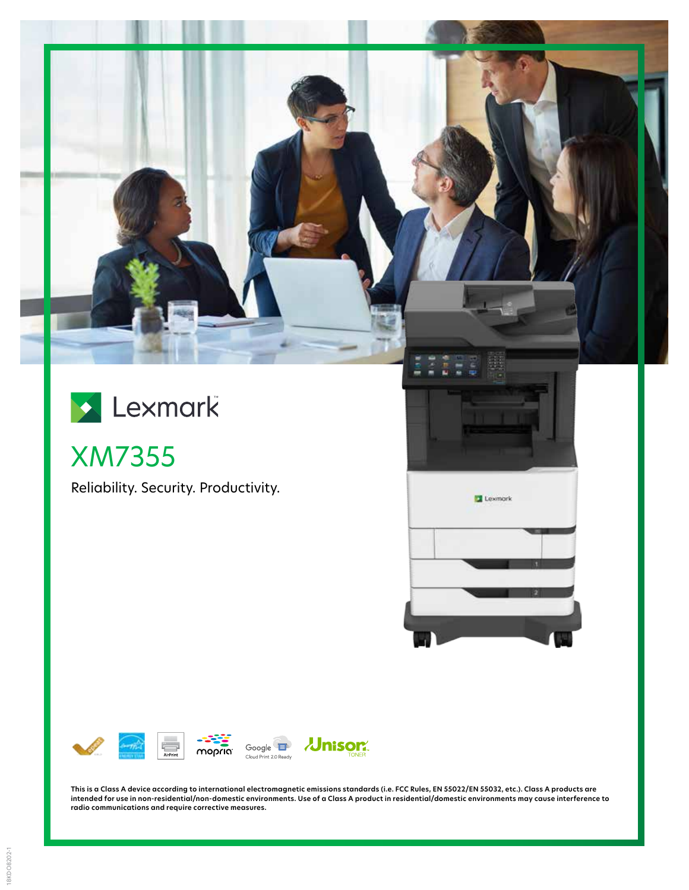



XM7355

Reliability. Security. Productivity.





**This is a Class A device according to international electromagnetic emissions standards (i.e. FCC Rules, EN 55022/EN 55032, etc.). Class A products are intended for use in non-residential/non-domestic environments. Use of a Class A product in residential/domestic environments may cause interference to radio communications and require corrective measures.**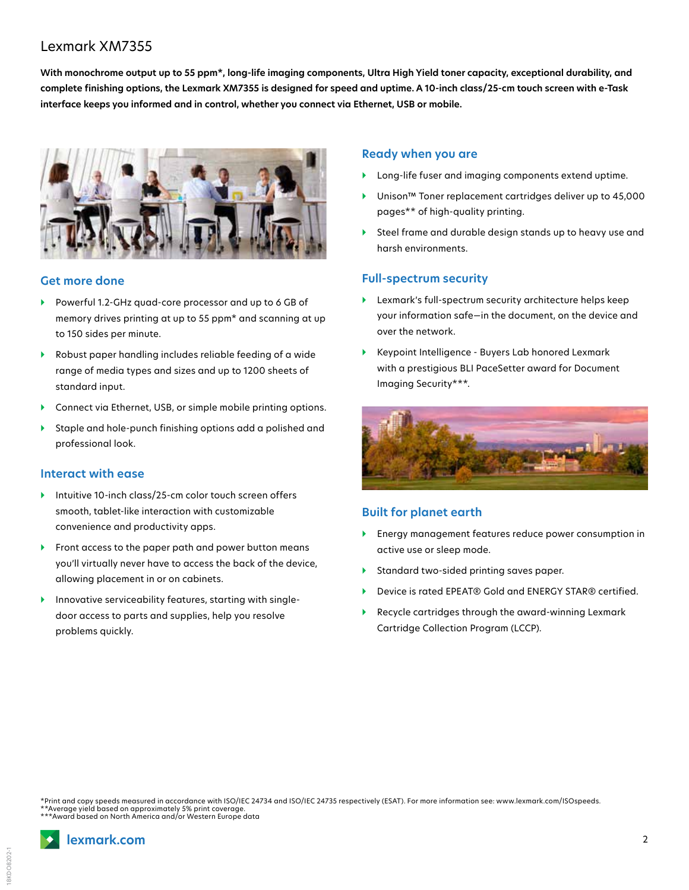# Lexmark XM7355

**With monochrome output up to 55 ppm\*, long-life imaging components, Ultra High Yield toner capacity, exceptional durability, and complete finishing options, the Lexmark XM7355 is designed for speed and uptime. A 10-inch class/25-cm touch screen with e-Task interface keeps you informed and in control, whether you connect via Ethernet, USB or mobile.**



#### **Get more done**

- } Powerful 1.2-GHz quad-core processor and up to 6 GB of memory drives printing at up to 55 ppm\* and scanning at up to 150 sides per minute.
- } Robust paper handling includes reliable feeding of a wide range of media types and sizes and up to 1200 sheets of standard input.
- } Connect via Ethernet, USB, or simple mobile printing options.
- } Staple and hole-punch finishing options add a polished and professional look.

#### **Interact with ease**

- } Intuitive 10-inch class/25-cm color touch screen offers smooth, tablet-like interaction with customizable convenience and productivity apps.
- ▶ Front access to the paper path and power button means you'll virtually never have to access the back of the device, allowing placement in or on cabinets.
- } Innovative serviceability features, starting with singledoor access to parts and supplies, help you resolve problems quickly.

#### **Ready when you are**

- Long-life fuser and imaging components extend uptime.
- } Unison™ Toner replacement cartridges deliver up to 45,000 pages\*\* of high-quality printing.
- } Steel frame and durable design stands up to heavy use and harsh environments.

#### **Full-spectrum security**

- } Lexmark's full-spectrum security architecture helps keep your information safe—in the document, on the device and over the network.
- } Keypoint Intelligence Buyers Lab honored Lexmark with a prestigious BLI PaceSetter award for Document Imaging Security\*\*\*.



### **Built for planet earth**

- } Energy management features reduce power consumption in active use or sleep mode.
- } Standard two-sided printing saves paper.
- } Device is rated EPEAT® Gold and ENERGY STAR® certified.
- } Recycle cartridges through the award-winning Lexmark Cartridge Collection Program (LCCP).

\*Print and copy speeds measured in accordance with ISO/IEC 24734 and ISO/IEC 24735 respectively (ESAT). For more information see: www.lexmark.com/ISOspeeds. \*\*Average yield based on approximately 5% print coverage. \*\*\*Award based on North America and/or Western Europe data

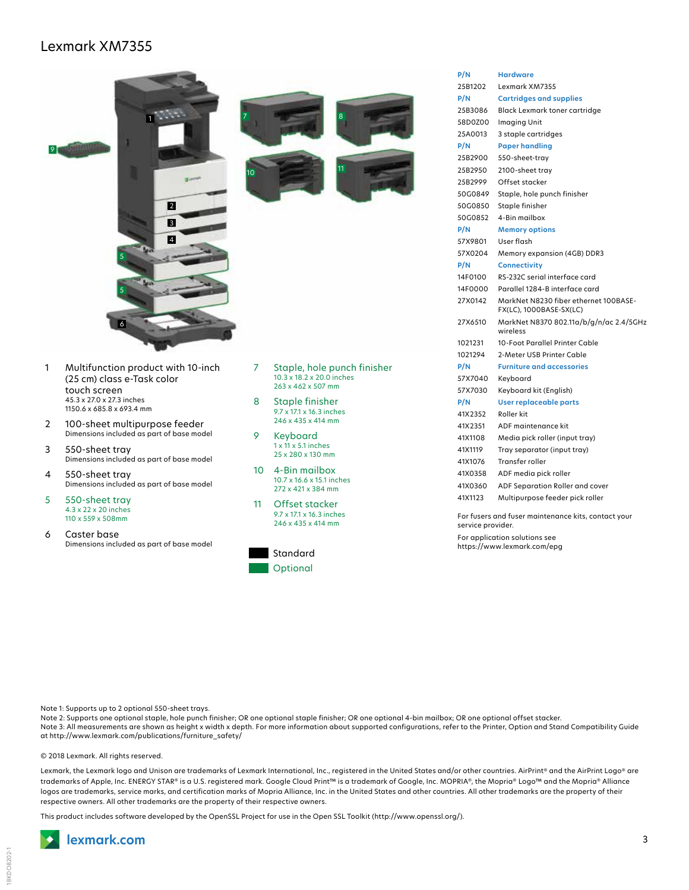## Lexmark XM7355



| 25B1202 | Lexmark XM7355                                                   |
|---------|------------------------------------------------------------------|
| P/N     | <b>Cartridges and supplies</b>                                   |
| 25B3086 | Black Lexmark toner cartridge                                    |
| 58D0Z00 | Imaging Unit                                                     |
| 25A0013 | 3 staple cartridges                                              |
| P/N     | <b>Paper handling</b>                                            |
| 25B2900 | 550-sheet-tray                                                   |
| 25B2950 | 2100-sheet tray                                                  |
| 25B2999 | Offset stacker                                                   |
| 50G0849 | Staple, hole punch finisher                                      |
| 50G0850 | Staple finisher                                                  |
| 50G0852 | 4-Bin mailbox                                                    |
| P/N     | <b>Memory options</b>                                            |
| 57X9801 | User flash                                                       |
| 57X0204 | Memory expansion (4GB) DDR3                                      |
| P/N     | <b>Connectivity</b>                                              |
| 14F0100 | RS-232C serial interface card                                    |
| 14F0000 | Parallel 1284-B interface card                                   |
| 27X0142 | MarkNet N8230 fiber ethernet 100BASE-<br>FX(LC), 1000BASE-SX(LC) |
| 27X6510 | MarkNet N8370 802.11a/b/g/n/ac 2.4/5GHz<br>wireless              |
| 1021231 | 10-Foot Parallel Printer Cable                                   |
| 1021294 | 2-Meter USB Printer Cable                                        |
| P/N     | <b>Furniture and accessories</b>                                 |
| 57X7040 | Keyboard                                                         |
| 57X7030 | Keyboard kit (English)                                           |
| P/N     | <b>User replaceable parts</b>                                    |
| 41X2352 | Roller kit                                                       |
| 41X2351 | ADF maintenance kit                                              |
| 41X1108 | Media pick roller (input tray)                                   |
| 41X1119 | Tray separator (input tray)                                      |
| 41X1076 | Transfer roller                                                  |
| 41X0358 | ADF media pick roller                                            |
| 41X0360 | ADF Separation Roller and cover                                  |
| 41X1123 | Multipurpose feeder pick roller                                  |
|         |                                                                  |

**P/N Hardware**

For fusers and fuser maintenance kits, contact your service provider. For application solutions see

https://www.lexmark.com/epg

Note 1: Supports up to 2 optional 550-sheet trays.

Note 2: Supports one optional staple, hole punch finisher; OR one optional staple finisher; OR one optional 4-bin mailbox; OR one optional offset stacker. Note 3: All measurements are shown as height x width x depth. For more information about supported configurations, refer to the Printer, Option and Stand Compatibility Guide at http://www.lexmark.com/publications/furniture\_safety/

**Optional** 

#### © 2018 Lexmark. All rights reserved.

Lexmark, the Lexmark logo and Unison are trademarks of Lexmark International, Inc., registered in the United States and/or other countries. AirPrint® and the AirPrint Logo® are trademarks of Apple, Inc. ENERGY STAR® is a U.S. registered mark. Google Cloud Print™ is a trademark of Google, Inc. MOPRIA®, the Mopria® Logo™ and the Mopria® Alliance logos are trademarks, service marks, and certification marks of Mopria Alliance, Inc. in the United States and other countries. All other trademarks are the property of their respective owners. All other trademarks are the property of their respective owners.

This product includes software developed by the OpenSSL Project for use in the Open SSL Toolkit (http://www.openssl.org/).